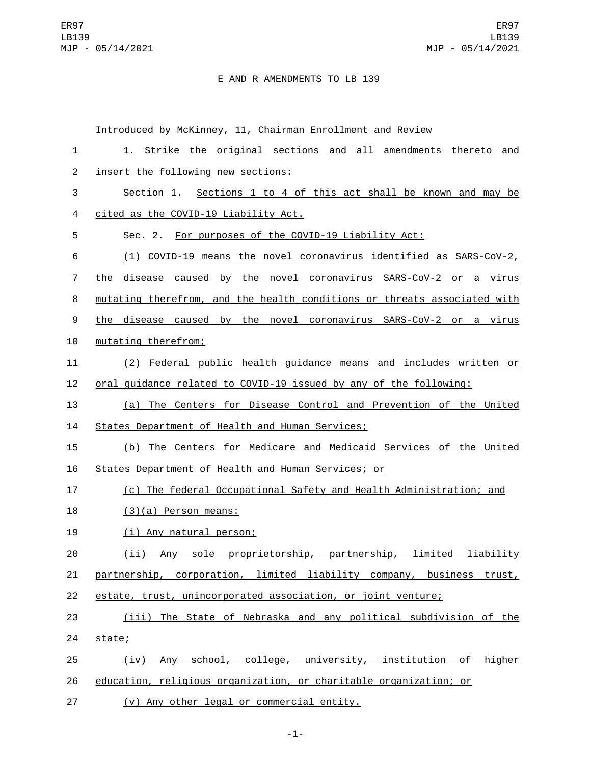## E AND R AMENDMENTS TO LB 139

Introduced by McKinney, 11, Chairman Enrollment and Review 1. Strike the original sections and all amendments thereto and 2 insert the following new sections: Section 1. Sections 1 to 4 of this act shall be known and may be cited as the COVID-19 Liability Act.4 Sec. 2. For purposes of the COVID-19 Liability Act: (1) COVID-19 means the novel coronavirus identified as SARS-CoV-2, 7 the disease caused by the novel coronavirus SARS-CoV-2 or a virus mutating therefrom, and the health conditions or threats associated with the disease caused by the novel coronavirus SARS-CoV-2 or a virus 10 mutating therefrom; (2) Federal public health guidance means and includes written or oral guidance related to COVID-19 issued by any of the following: (a) The Centers for Disease Control and Prevention of the United 14 States Department of Health and Human Services; (b) The Centers for Medicare and Medicaid Services of the United States Department of Health and Human Services; or (c) The federal Occupational Safety and Health Administration; and  $(3)(a)$  Person means: (i) Any natural person;19 (ii) Any sole proprietorship, partnership, limited liability

21 partnership, corporation, limited liability company, business trust, 22 estate, trust, unincorporated association, or joint venture;

23 (iii) The State of Nebraska and any political subdivision of the 24 state;

25 (iv) Any school, college, university, institution of higher 26 education, religious organization, or charitable organization; or

27 (v) Any other legal or commercial entity.

-1-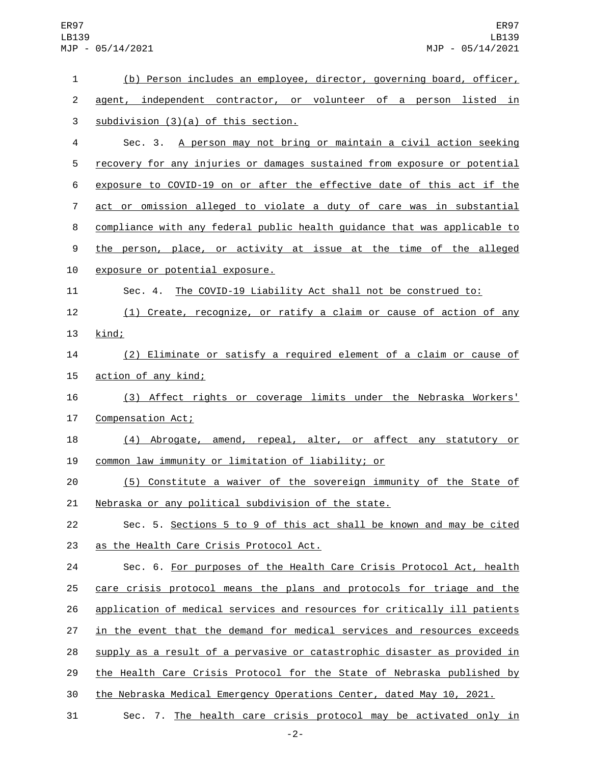| 1                | (b) Person includes an employee, director, governing board, officer,      |
|------------------|---------------------------------------------------------------------------|
| $\overline{c}$   | agent, independent contractor, or volunteer of a person listed in         |
| 3                | subdivision (3)(a) of this section.                                       |
| 4                | Sec. 3. A person may not bring or maintain a civil action seeking         |
| 5                | recovery for any injuries or damages sustained from exposure or potential |
| 6                | exposure to COVID-19 on or after the effective date of this act if the    |
| $\overline{7}$   | act or omission alleged to violate a duty of care was in substantial      |
| 8                | compliance with any federal public health guidance that was applicable to |
| $\boldsymbol{9}$ | the person, place, or activity at issue at the time of the alleged        |
| 10               | exposure or potential exposure.                                           |
| 11               | Sec. 4. The COVID-19 Liability Act shall not be construed to:             |
| 12               | (1) Create, recognize, or ratify a claim or cause of action of any        |
| 13               | kind;                                                                     |
| 14               | (2) Eliminate or satisfy a required element of a claim or cause of        |
| 15               | action of any kind;                                                       |
| 16               | (3) Affect rights or coverage limits under the Nebraska Workers'          |
| 17               | Compensation Act;                                                         |
| 18               | (4) Abrogate, amend, repeal, alter, or affect any statutory or            |
| 19               | common law immunity or limitation of liability; or                        |
| 20               | (5) Constitute a waiver of the sovereign immunity of the State of         |
| 21               | Nebraska or any political subdivision of the state.                       |
| 22               | Sec. 5. Sections 5 to 9 of this act shall be known and may be cited       |
| 23               | as the Health Care Crisis Protocol Act.                                   |
| 24               | Sec. 6. For purposes of the Health Care Crisis Protocol Act, health       |
| 25               | care crisis protocol means the plans and protocols for triage and the     |
| 26               | application of medical services and resources for critically ill patients |
| 27               | in the event that the demand for medical services and resources exceeds   |
| 28               | supply as a result of a pervasive or catastrophic disaster as provided in |
| 29               | the Health Care Crisis Protocol for the State of Nebraska published by    |
| 30               | the Nebraska Medical Emergency Operations Center, dated May 10, 2021.     |
| 31               | Sec. 7. The health care crisis protocol may be activated only in          |